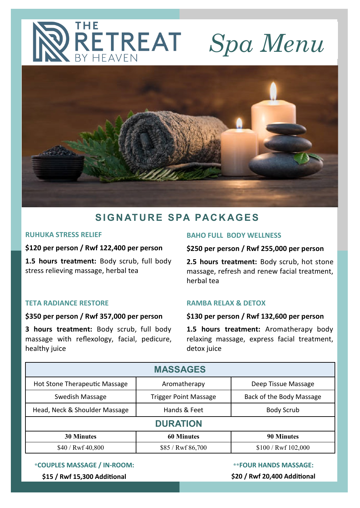# RETREAT *Spa Menu* **BY HEAVEN**



## **S I G N AT U R E S PA PAC K AGE S**

#### **RUHUKA STRESS RELIEF**

#### **\$120 per person / Rwf 122,400 per person**

**1.5 hours treatment:** Body scrub, full body stress relieving massage, herbal tea

#### **TETA RADIANCE RESTORE**

#### **\$350 per person / Rwf 357,000 per person**

**3 hours treatment:** Body scrub, full body massage with reflexology, facial, pedicure, healthy juice

#### **BAHO FULL BODY WELLNESS**

#### **\$250 per person / Rwf 255,000 per person**

**2.5 hours treatment:** Body scrub, hot stone massage, refresh and renew facial treatment, herbal tea

#### **RAMBA RELAX & DETOX**

#### **\$130 per person / Rwf 132,600 per person**

**1.5 hours treatment:** Aromatherapy body relaxing massage, express facial treatment, detox juice

| <b>MASSAGES</b>               |                              |                          |  |  |
|-------------------------------|------------------------------|--------------------------|--|--|
| Hot Stone Therapeutic Massage | Aromatherapy                 | Deep Tissue Massage      |  |  |
| Swedish Massage               | <b>Trigger Point Massage</b> | Back of the Body Massage |  |  |
| Head, Neck & Shoulder Massage | Hands & Feet                 | <b>Body Scrub</b>        |  |  |
| <b>DURATION</b>               |                              |                          |  |  |
| <b>30 Minutes</b>             | <b>60 Minutes</b>            | <b>90 Minutes</b>        |  |  |
| \$40 / Rwf 40,800             | \$85 / Rwf 86,700            | \$100 / Rwf 102,000      |  |  |

**\*COUPLES MASSAGE / IN-ROOM:** 

**\$15 / Rwf 15,300 Additional** 

**\*\*FOUR HANDS MASSAGE:** 

**\$20 / Rwf 20,400 Additional**